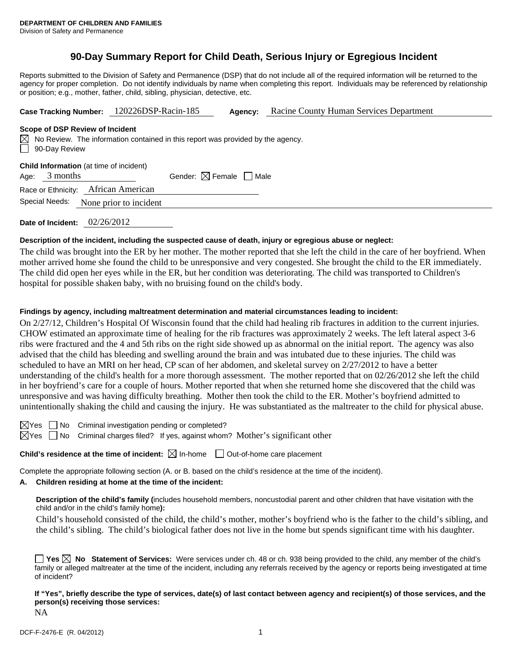# **90-Day Summary Report for Child Death, Serious Injury or Egregious Incident**

Reports submitted to the Division of Safety and Permanence (DSP) that do not include all of the required information will be returned to the agency for proper completion. Do not identify individuals by name when completing this report. Individuals may be referenced by relationship or position; e.g., mother, father, child, sibling, physician, detective, etc.

| 120226DSP-Racin-185<br>Racine County Human Services Department<br><b>Case Tracking Number:</b><br>Agency: |  |
|-----------------------------------------------------------------------------------------------------------|--|
|-----------------------------------------------------------------------------------------------------------|--|

#### **Scope of DSP Review of Incident**

No Review. The information contained in this report was provided by the agency. 90-Day Review

| <b>Child Information</b> (at time of incident) |  |
|------------------------------------------------|--|
|------------------------------------------------|--|

Age:  $3$  months Gender:  $\boxtimes$  Female  $\Box$  Male

Race or Ethnicity: African American

Special Needs: None prior to incident

**Date of Incident:** 02/26/2012

### **Description of the incident, including the suspected cause of death, injury or egregious abuse or neglect:**

The child was brought into the ER by her mother. The mother reported that she left the child in the care of her boyfriend. When mother arrived home she found the child to be unresponsive and very congested. She brought the child to the ER immediately. The child did open her eyes while in the ER, but her condition was deteriorating. The child was transported to Children's hospital for possible shaken baby, with no bruising found on the child's body.

## **Findings by agency, including maltreatment determination and material circumstances leading to incident:**

On 2/27/12, Children's Hospital Of Wisconsin found that the child had healing rib fractures in addition to the current injuries. CHOW estimated an approximate time of healing for the rib fractures was approximately 2 weeks. The left lateral aspect 3-6 ribs were fractured and the 4 and 5th ribs on the right side showed up as abnormal on the initial report. The agency was also advised that the child has bleeding and swelling around the brain and was intubated due to these injuries. The child was scheduled to have an MRI on her head, CP scan of her abdomen, and skeletal survey on 2/27/2012 to have a better understanding of the child's health for a more thorough assessment. The mother reported that on 02/26/2012 she left the child in her boyfriend's care for a couple of hours. Mother reported that when she returned home she discovered that the child was unresponsive and was having difficulty breathing. Mother then took the child to the ER. Mother's boyfriend admitted to unintentionally shaking the child and causing the injury. He was substantiated as the maltreater to the child for physical abuse.

 $\boxtimes$ Yes  $\Box$  No Criminal investigation pending or completed?

 $\boxtimes$  Yes  $\Box$  No Criminal charges filed? If yes, against whom? Mother's significant other

**Child's residence at the time of incident:**  $\boxtimes$  In-home  $\Box$  Out-of-home care placement

Complete the appropriate following section (A. or B. based on the child's residence at the time of the incident).

# **A. Children residing at home at the time of the incident:**

**Description of the child's family (**includes household members, noncustodial parent and other children that have visitation with the child and/or in the child's family home**):** 

Child's household consisted of the child, the child's mother, mother's boyfriend who is the father to the child's sibling, and the child's sibling. The child's biological father does not live in the home but spends significant time with his daughter.

**Yes**  $\boxtimes$  **No** Statement of Services: Were services under ch. 48 or ch. 938 being provided to the child, any member of the child's family or alleged maltreater at the time of the incident, including any referrals received by the agency or reports being investigated at time of incident?

**If "Yes", briefly describe the type of services, date(s) of last contact between agency and recipient(s) of those services, and the person(s) receiving those services:** 

NA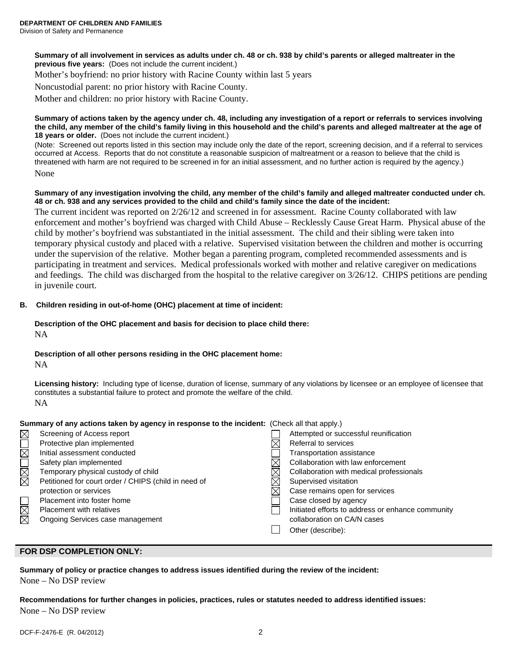**Summary of all involvement in services as adults under ch. 48 or ch. 938 by child's parents or alleged maltreater in the previous five years:** (Does not include the current incident.)

Mother's boyfriend: no prior history with Racine County within last 5 years

Noncustodial parent: no prior history with Racine County.

Mother and children: no prior history with Racine County.

#### **Summary of actions taken by the agency under ch. 48, including any investigation of a report or referrals to services involving the child, any member of the child's family living in this household and the child's parents and alleged maltreater at the age of 18 years or older.** (Does not include the current incident.)

(Note: Screened out reports listed in this section may include only the date of the report, screening decision, and if a referral to services occurred at Access. Reports that do not constitute a reasonable suspicion of maltreatment or a reason to believe that the child is threatened with harm are not required to be screened in for an initial assessment, and no further action is required by the agency.) None

#### **Summary of any investigation involving the child, any member of the child's family and alleged maltreater conducted under ch. 48 or ch. 938 and any services provided to the child and child's family since the date of the incident:**

The current incident was reported on 2/26/12 and screened in for assessment. Racine County collaborated with law enforcement and mother's boyfriend was charged with Child Abuse – Recklessly Cause Great Harm. Physical abuse of the child by mother's boyfriend was substantiated in the initial assessment. The child and their sibling were taken into temporary physical custody and placed with a relative. Supervised visitation between the children and mother is occurring under the supervision of the relative. Mother began a parenting program, completed recommended assessments and is participating in treatment and services. Medical professionals worked with mother and relative caregiver on medications and feedings. The child was discharged from the hospital to the relative caregiver on 3/26/12. CHIPS petitions are pending in juvenile court.

## **B. Children residing in out-of-home (OHC) placement at time of incident:**

# **Description of the OHC placement and basis for decision to place child there:**

NA

# **Description of all other persons residing in the OHC placement home:**

NA

**Licensing history:** Including type of license, duration of license, summary of any violations by licensee or an employee of licensee that constitutes a substantial failure to protect and promote the welfare of the child. NA

### **Summary of any actions taken by agency in response to the incident:** (Check all that apply.)

| Screening of Access report                           | Attempted or successful reunification             |
|------------------------------------------------------|---------------------------------------------------|
| Protective plan implemented                          | Referral to services                              |
| Initial assessment conducted                         | Transportation assistance                         |
| Safety plan implemented                              | Collaboration with law enforcement                |
| Temporary physical custody of child                  | Collaboration with medical professionals          |
| Petitioned for court order / CHIPS (child in need of | Supervised visitation                             |
| protection or services                               | Case remains open for services                    |
| Placement into foster home                           | Case closed by agency                             |
| Placement with relatives                             | Initiated efforts to address or enhance community |
| Ongoing Services case management                     | collaboration on CA/N cases                       |
|                                                      | Other (describe):                                 |
|                                                      |                                                   |

# **FOR DSP COMPLETION ONLY:**

**Summary of policy or practice changes to address issues identified during the review of the incident:**  None – No DSP review

**Recommendations for further changes in policies, practices, rules or statutes needed to address identified issues:**  None – No DSP review